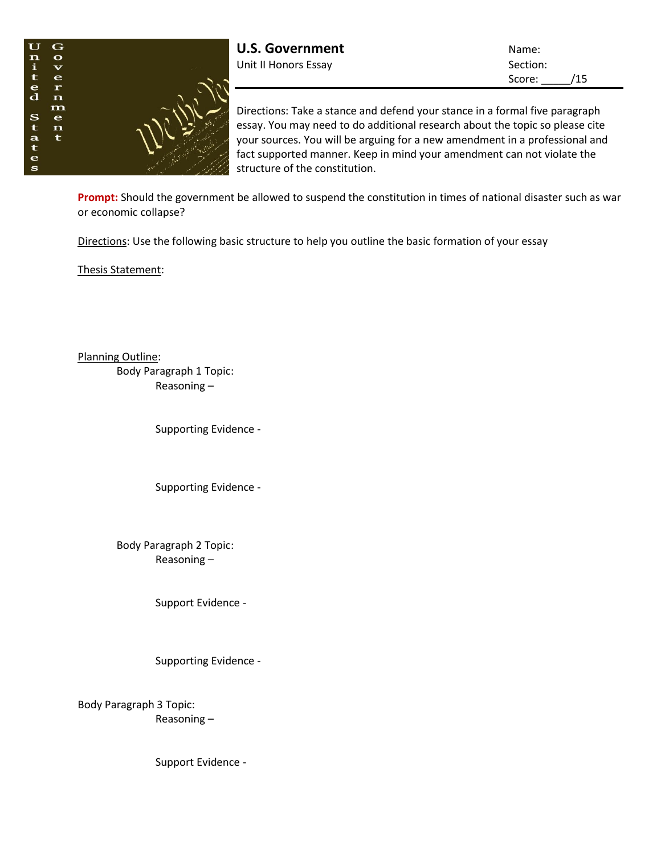

Score: /15

Directions: Take a stance and defend your stance in a formal five paragraph essay. You may need to do additional research about the topic so please cite your sources. You will be arguing for a new amendment in a professional and fact supported manner. Keep in mind your amendment can not violate the structure of the constitution.

**Prompt:** Should the government be allowed to suspend the constitution in times of national disaster such as war or economic collapse?

Directions: Use the following basic structure to help you outline the basic formation of your essay

Thesis Statement:

Planning Outline:

Body Paragraph 1 Topic: Reasoning –

Supporting Evidence -

Supporting Evidence -

Body Paragraph 2 Topic: Reasoning –

Support Evidence -

Supporting Evidence -

Body Paragraph 3 Topic: Reasoning –

Support Evidence -